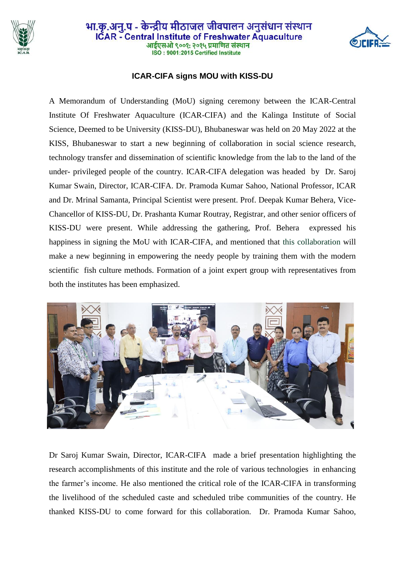

## भा.कृ.अनु.प - केन्द्रीय मीठाजल जीवपालन अनुसंधान संस्थान ICAR - Central Institute of Freshwater Aquaculture आईएसओ ९००१: २०१५ प्रमाणित संस्थान ISO: 9001:2015 Certified Institute



## **ICAR-CIFA signs MOU with KISS-DU**

A Memorandum of Understanding (MoU) signing ceremony between the ICAR-Central Institute Of Freshwater Aquaculture (ICAR-CIFA) and the Kalinga Institute of Social Science, Deemed to be University (KISS-DU), Bhubaneswar was held on 20 May 2022 at the KISS, Bhubaneswar to start a new beginning of collaboration in social science research, technology transfer and dissemination of scientific knowledge from the lab to the land of the under- privileged people of the country. ICAR-CIFA delegation was headed by Dr. Saroj Kumar Swain, Director, ICAR-CIFA. Dr. Pramoda Kumar Sahoo, National Professor, ICAR and Dr. Mrinal Samanta, Principal Scientist were present. Prof. Deepak Kumar Behera, Vice-Chancellor of KISS-DU, Dr. Prashanta Kumar Routray, Registrar, and other senior officers of KISS-DU were present. While addressing the gathering, Prof. Behera expressed his happiness in signing the MoU with ICAR-CIFA, and mentioned that this collaboration will make a new beginning in empowering the needy people by training them with the modern scientific fish culture methods. Formation of a joint expert group with representatives from both the institutes has been emphasized.



Dr Saroj Kumar Swain, Director, ICAR-CIFA made a brief presentation highlighting the research accomplishments of this institute and the role of various technologies in enhancing the farmer's income. He also mentioned the critical role of the ICAR-CIFA in transforming the livelihood of the scheduled caste and scheduled tribe communities of the country. He thanked KISS-DU to come forward for this collaboration. Dr. Pramoda Kumar Sahoo,